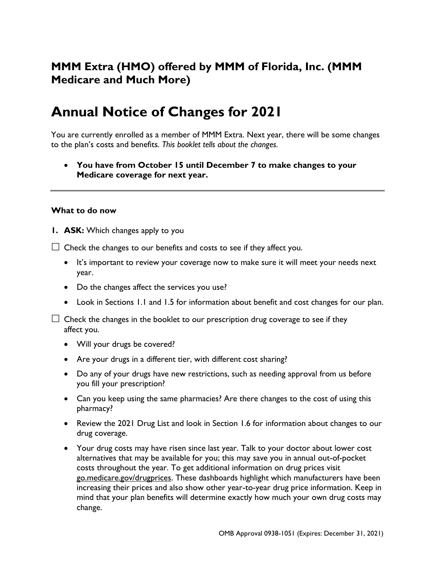# **MMM Extra (HMO) offered by MMM of Florida, Inc. (MMM Medicare and Much More)**

# **Annual Notice of Changes for 2021**

You are currently enrolled as a member of MMM Extra. Next year, there will be some changes to the plan's costs and benefits*. This booklet tells about the changes.*

• **You have from October 15 until December 7 to make changes to your Medicare coverage for next year.**

#### **What to do now**

**1. ASK:** Which changes apply to you

 $\Box$  Check the changes to our benefits and costs to see if they affect you.

- It's important to review your coverage now to make sure it will meet your needs next year.
- Do the changes affect the services you use?
- Look in Sections 1.1 and 1.5 for information about benefit and cost changes for our plan.

 $\Box$  Check the changes in the booklet to our prescription drug coverage to see if they affect you.

- Will your drugs be covered?
- Are your drugs in a different tier, with different cost sharing?
- Do any of your drugs have new restrictions, such as needing approval from us before you fill your prescription?
- Can you keep using the same pharmacies? Are there changes to the cost of using this pharmacy?
- Review the 2021 Drug List and look in Section 1.6 for information about changes to our drug coverage.
- Your drug costs may have risen since last year. Talk to your doctor about lower cost alternatives that may be available for you; this may save you in annual out-of-pocket costs throughout the year. To get additional information on drug prices visit go.medicare.gov/drugprices. These dashboards highlight which manufacturers have been increasing their prices and also show other year-to-year drug price information. Keep in mind that your plan benefits will determine exactly how much your own drug costs may change.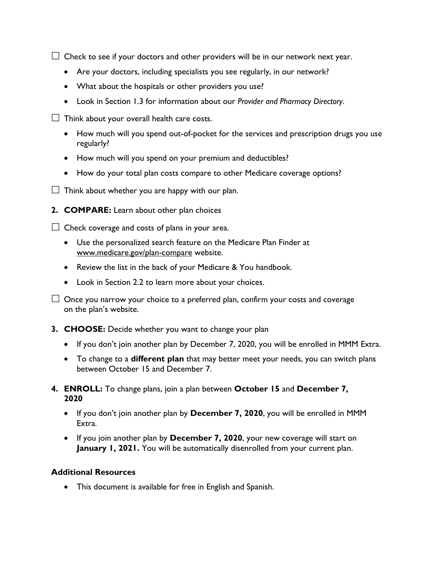$\Box$  Check to see if your doctors and other providers will be in our network next year.

- Are your doctors, including specialists you see regularly, in our network?
- What about the hospitals or other providers you use?
- Look in Section 1.3 for information about our *Provider and Pharmacy Directory*.

 $\Box$  Think about your overall health care costs.

- How much will you spend out-of-pocket for the services and prescription drugs you use regularly?
- How much will you spend on your premium and deductibles?
- How do your total plan costs compare to other Medicare coverage options?
- $\Box$  Think about whether you are happy with our plan.
- **2. COMPARE:** Learn about other plan choices

 $\Box$  Check coverage and costs of plans in your area.

- Use the personalized search feature on the Medicare Plan Finder at [www.medicare.gov/plan-compare](http://www.medicare.gov/plan-compare) website.
- Review the list in the back of your Medicare & You handbook.
- Look in Section 2.2 to learn more about your choices.

 $\Box$  Once you narrow your choice to a preferred plan, confirm your costs and coverage on the plan's website.

- **3. CHOOSE:** Decide whether you want to change your plan
	- If you don't join another plan by December 7, 2020, you will be enrolled in MMM Extra.
	- To change to a **different plan** that may better meet your needs, you can switch plans between October 15 and December 7.
- **4. ENROLL:** To change plans, join a plan between **October 15** and **December 7, 2020**
	- If you don't join another plan by **December 7, 2020**, you will be enrolled in MMM Extra.
	- If you join another plan by **December 7, 2020**, your new coverage will start on January 1, 2021. You will be automatically disenrolled from your current plan.

#### **Additional Resources**

• This document is available for free in English and Spanish.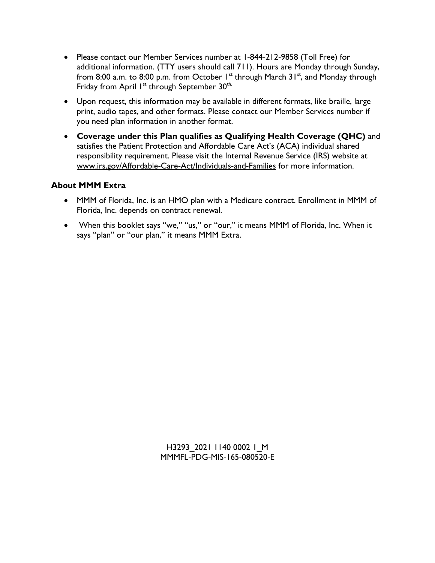- Please contact our Member Services number at 1-844-212-9858 (Toll Free) for additional information. (TTY users should call 711). Hours are Monday through Sunday, from 8:00 a.m. to 8:00 p.m. from October  $1^{st}$  through March 31 $^{st}$ , and Monday through Friday from April  $1^{st}$  through September 30<sup>th.</sup>
- Upon request, this information may be available in different formats, like braille, large print, audio tapes, and other formats. Please contact our Member Services number if you need plan information in another format.
- **Coverage under this Plan qualifies as Qualifying Health Coverage (QHC)** and satisfies the Patient Protection and Affordable Care Act's (ACA) individual shared responsibility requirement. Please visit the Internal Revenue Service (IRS) website at [www.irs.gov/Affordable-Care-Act/Individuals-and-Families](file:///C:/Users/vmartinezl/AppData/Local/Microsoft/Windows/Temporary%20Internet%20Files/Content.Outlook/EAM47W0O/www.irs.gov/Affordable-Care-Act/Individuals-and-Families) for more information.

## **About MMM Extra**

- MMM of Florida, Inc. is an HMO plan with a Medicare contract. Enrollment in MMM of Florida, Inc. depends on contract renewal.
- When this booklet says "we," "us," or "our," it means MMM of Florida, Inc. When it says "plan" or "our plan," it means MMM Extra.

H3293 2021 1140 0002 I M MMMFL-PDG-MIS-165-080520-E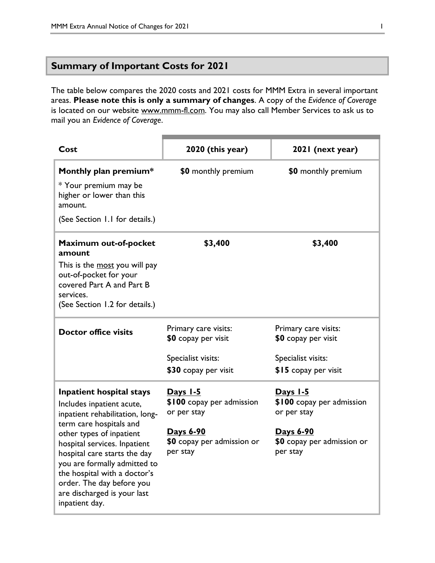## **Summary of Important Costs for 2021**

The table below compares the 2020 costs and 2021 costs for MMM Extra in several important areas. **Please note this is only a summary of changes**. A copy of the *Evidence of Coverage* is located on our website [www.mmm-fl.com.](http://www.mmmpr.com/) You may also call Member Services to ask us to mail you an *Evidence of Coverage*.

| Cost                                                                                                                                                                                                                                                                                                                                                          | 2020 (this year)                                                                                                   | 2021 (next year)                                                                                                   |
|---------------------------------------------------------------------------------------------------------------------------------------------------------------------------------------------------------------------------------------------------------------------------------------------------------------------------------------------------------------|--------------------------------------------------------------------------------------------------------------------|--------------------------------------------------------------------------------------------------------------------|
| Monthly plan premium*<br>* Your premium may be<br>higher or lower than this<br>amount.<br>(See Section 1.1 for details.)                                                                                                                                                                                                                                      | \$0 monthly premium                                                                                                | \$0 monthly premium                                                                                                |
| Maximum out-of-pocket<br>amount<br>This is the most you will pay<br>out-of-pocket for your<br>covered Part A and Part B<br>services.<br>(See Section 1.2 for details.)                                                                                                                                                                                        | \$3,400                                                                                                            | \$3,400                                                                                                            |
| <b>Doctor office visits</b>                                                                                                                                                                                                                                                                                                                                   | Primary care visits:<br>$$0$ copay per visit<br>Specialist visits:<br>\$30 copay per visit                         | Primary care visits:<br>\$0 copay per visit<br>Specialist visits:<br>\$15 copay per visit                          |
| Inpatient hospital stays<br>Includes inpatient acute,<br>inpatient rehabilitation, long-<br>term care hospitals and<br>other types of inpatient<br>hospital services. Inpatient<br>hospital care starts the day<br>you are formally admitted to<br>the hospital with a doctor's<br>order. The day before you<br>are discharged is your last<br>inpatient day. | Days 1-5<br>\$100 copay per admission<br>or per stay<br><u>Days 6-90</u><br>\$0 copay per admission or<br>per stay | Days 1-5<br>\$100 copay per admission<br>or per stay<br><u>Days 6-90</u><br>\$0 copay per admission or<br>per stay |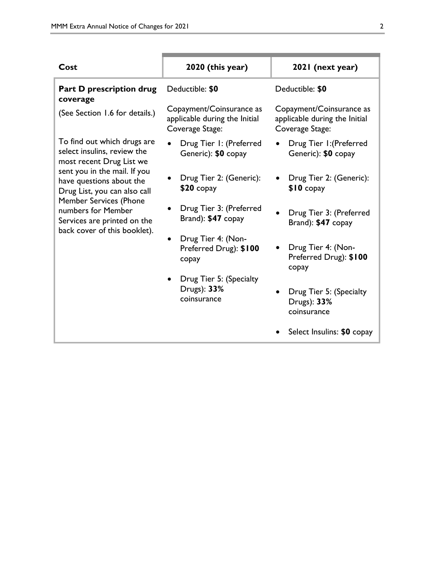| Cost                                                                                                               | 2020 (this year)                                                             | 2021 (next year)                                                             |
|--------------------------------------------------------------------------------------------------------------------|------------------------------------------------------------------------------|------------------------------------------------------------------------------|
| <b>Part D prescription drug</b><br>coverage                                                                        | Deductible: \$0                                                              | Deductible: \$0                                                              |
| (See Section 1.6 for details.)                                                                                     | Copayment/Coinsurance as<br>applicable during the Initial<br>Coverage Stage: | Copayment/Coinsurance as<br>applicable during the Initial<br>Coverage Stage: |
| To find out which drugs are<br>select insulins, review the<br>most recent Drug List we                             | Drug Tier I: (Preferred<br>Generic): \$0 copay                               | Drug Tier I: (Preferred<br>Generic): \$0 copay                               |
| sent you in the mail. If you<br>have questions about the<br>Drug List, you can also call                           | Drug Tier 2: (Generic):<br>$$20$ copay                                       | Drug Tier 2: (Generic):<br>$$10$ copay                                       |
| <b>Member Services (Phone</b><br>numbers for Member<br>Services are printed on the<br>back cover of this booklet). | Drug Tier 3: (Preferred<br>Brand): \$47 copay                                | Drug Tier 3: (Preferred<br>Brand): \$47 copay                                |
|                                                                                                                    | Drug Tier 4: (Non-<br>Preferred Drug): \$100<br>copay                        | Drug Tier 4: (Non-<br>Preferred Drug): \$100<br>copay                        |
|                                                                                                                    | Drug Tier 5: (Specialty<br>Drugs): 33%<br>coinsurance                        | Drug Tier 5: (Specialty<br>Drugs): 33%<br>coinsurance                        |
|                                                                                                                    |                                                                              | Select Insulins: \$0 copay                                                   |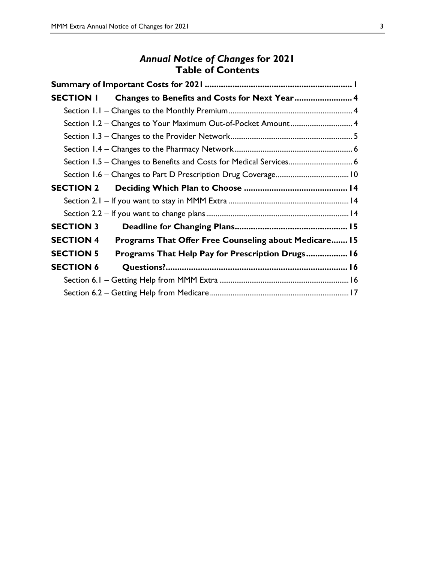# *Annual Notice of Changes* **for 2021 Table of Contents**

|                  | SECTION I Changes to Benefits and Costs for Next Year 4            |  |
|------------------|--------------------------------------------------------------------|--|
|                  |                                                                    |  |
|                  |                                                                    |  |
|                  |                                                                    |  |
|                  |                                                                    |  |
|                  | Section 1.5 – Changes to Benefits and Costs for Medical Services 6 |  |
|                  |                                                                    |  |
|                  |                                                                    |  |
|                  |                                                                    |  |
|                  |                                                                    |  |
| <b>SECTION 3</b> |                                                                    |  |
| <b>SECTION 4</b> | Programs That Offer Free Counseling about Medicare 15              |  |
| <b>SECTION 5</b> | Programs That Help Pay for Prescription Drugs 16                   |  |
| <b>SECTION 6</b> |                                                                    |  |
|                  |                                                                    |  |
|                  |                                                                    |  |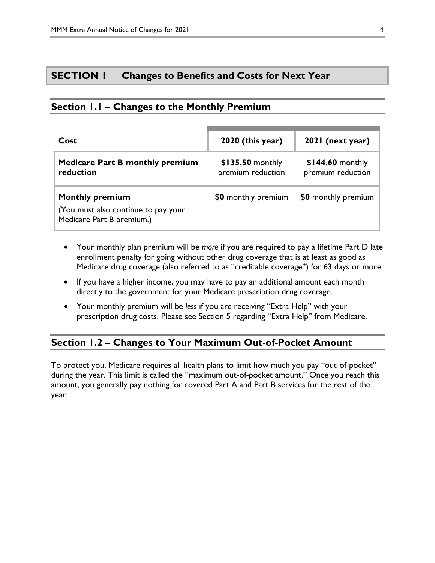## **SECTION 1 Changes to Benefits and Costs for Next Year**

## **Section 1.1 – Changes to the Monthly Premium**

| Cost                                                                                       | 2020 (this year)                      | 2021 (next year)                       |
|--------------------------------------------------------------------------------------------|---------------------------------------|----------------------------------------|
| <b>Medicare Part B monthly premium</b><br>reduction                                        | \$135.50 monthly<br>premium reduction | $$144.60$ monthly<br>premium reduction |
| <b>Monthly premium</b><br>(You must also continue to pay your<br>Medicare Part B premium.) | \$0 monthly premium                   | \$0 monthly premium                    |

- Your monthly plan premium will be *more* if you are required to pay a lifetime Part D late enrollment penalty for going without other drug coverage that is at least as good as Medicare drug coverage (also referred to as "creditable coverage") for 63 days or more.
- If you have a higher income, you may have to pay an additional amount each month directly to the government for your Medicare prescription drug coverage.
- Your monthly premium will be *less* if you are receiving "Extra Help" with your prescription drug costs. Please see Section 5 regarding "Extra Help" from Medicare.

## **Section 1.2 – Changes to Your Maximum Out-of-Pocket Amount**

To protect you, Medicare requires all health plans to limit how much you pay "out-of-pocket" during the year. This limit is called the "maximum out-of-pocket amount." Once you reach this amount, you generally pay nothing for covered Part A and Part B services for the rest of the year.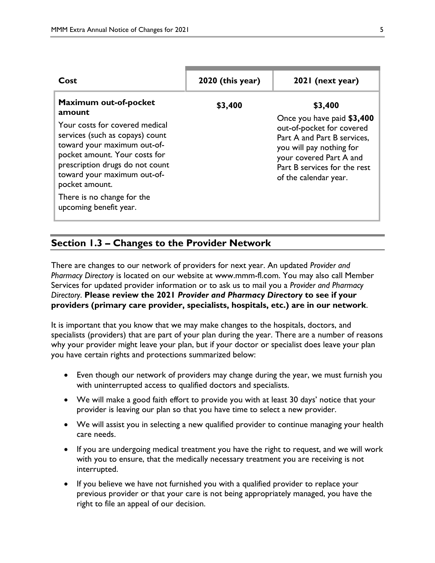| Cost                                                                                                                                                                                                                                                                                                             | $2020$ (this year) | 2021 (next year)                                                                                                                                                                                                  |
|------------------------------------------------------------------------------------------------------------------------------------------------------------------------------------------------------------------------------------------------------------------------------------------------------------------|--------------------|-------------------------------------------------------------------------------------------------------------------------------------------------------------------------------------------------------------------|
| Maximum out-of-pocket<br>amount<br>Your costs for covered medical<br>services (such as copays) count<br>toward your maximum out-of-<br>pocket amount. Your costs for<br>prescription drugs do not count<br>toward your maximum out-of-<br>pocket amount.<br>There is no change for the<br>upcoming benefit year. | \$3,400            | \$3,400<br>Once you have paid \$3,400<br>out-of-pocket for covered<br>Part A and Part B services,<br>you will pay nothing for<br>your covered Part A and<br>Part B services for the rest<br>of the calendar year. |

# **Section 1.3 – Changes to the Provider Network**

There are changes to our network of providers for next year. An updated *Provider and Pharmacy Directory* is located on our website at [www.mmm-fl.com.](http://www.mmmpr.com/) You may also call Member Services for updated provider information or to ask us to mail you a *Provider and Pharmacy Directory*. **Please review the 2021** *Provider and Pharmacy Directory* **to see if your providers (primary care provider, specialists, hospitals, etc.) are in our network**.

It is important that you know that we may make changes to the hospitals, doctors, and specialists (providers) that are part of your plan during the year. There are a number of reasons why your provider might leave your plan, but if your doctor or specialist does leave your plan you have certain rights and protections summarized below:

- Even though our network of providers may change during the year, we must furnish you with uninterrupted access to qualified doctors and specialists.
- We will make a good faith effort to provide you with at least 30 days' notice that your provider is leaving our plan so that you have time to select a new provider.
- We will assist you in selecting a new qualified provider to continue managing your health care needs.
- If you are undergoing medical treatment you have the right to request, and we will work with you to ensure, that the medically necessary treatment you are receiving is not interrupted.
- If you believe we have not furnished you with a qualified provider to replace your previous provider or that your care is not being appropriately managed, you have the right to file an appeal of our decision.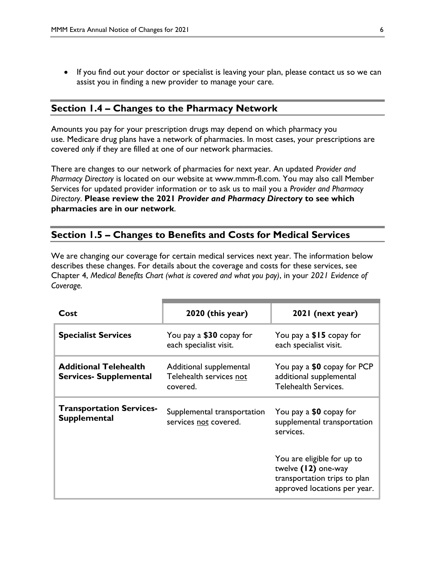• If you find out your doctor or specialist is leaving your plan, please contact us so we can assist you in finding a new provider to manage your care.

### **Section 1.4 – Changes to the Pharmacy Network**

Amounts you pay for your prescription drugs may depend on which pharmacy you use. Medicare drug plans have a network of pharmacies. In most cases, your prescriptions are covered *only* if they are filled at one of our network pharmacies.

There are changes to our network of pharmacies for next year. An updated *Provider and Pharmacy Directory* is located on our website at [www.mmm-fl.com.](http://www.mmmpr.com/) You may also call Member Services for updated provider information or to ask us to mail you a *Provider and Pharmacy Directory*. **Please review the 2021** *Provider and Pharmacy Directory* **to see which pharmacies are in our network**.

#### **Section 1.5 – Changes to Benefits and Costs for Medical Services**

We are changing our coverage for certain medical services next year. The information below describes these changes. For details about the coverage and costs for these services, see Chapter 4, *Medical Benefits Chart (what is covered and what you pay)*, in your *2021 Evidence of Coverage.*

| Cost                                                          | 2020 (this year)                                               | 2021 (next year)                                                                                                  |
|---------------------------------------------------------------|----------------------------------------------------------------|-------------------------------------------------------------------------------------------------------------------|
| <b>Specialist Services</b>                                    | You pay a \$30 copay for<br>each specialist visit.             | You pay a $$15$ copay for<br>each specialist visit.                                                               |
| <b>Additional Telehealth</b><br><b>Services- Supplemental</b> | Additional supplemental<br>Telehealth services not<br>covered. | You pay a \$0 copay for PCP<br>additional supplemental<br>Telehealth Services.                                    |
| <b>Transportation Services-</b><br><b>Supplemental</b>        | Supplemental transportation<br>services not covered.           | You pay a \$0 copay for<br>supplemental transportation<br>services.                                               |
|                                                               |                                                                | You are eligible for up to<br>twelve (12) one-way<br>transportation trips to plan<br>approved locations per year. |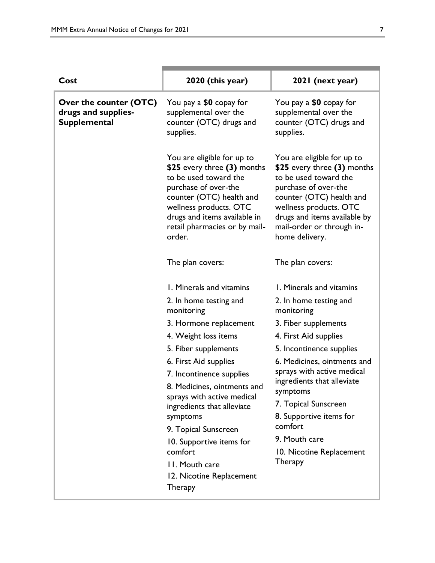| Cost                                                                 | 2020 (this year)                                                                                                                                                                                                                                                                                                                                                                                                                      | 2021 (next year)                                                                                                                                                                                                                                                                                                                                                           |
|----------------------------------------------------------------------|---------------------------------------------------------------------------------------------------------------------------------------------------------------------------------------------------------------------------------------------------------------------------------------------------------------------------------------------------------------------------------------------------------------------------------------|----------------------------------------------------------------------------------------------------------------------------------------------------------------------------------------------------------------------------------------------------------------------------------------------------------------------------------------------------------------------------|
| Over the counter (OTC)<br>drugs and supplies-<br><b>Supplemental</b> | You pay a \$0 copay for<br>supplemental over the<br>counter (OTC) drugs and<br>supplies.                                                                                                                                                                                                                                                                                                                                              | You pay a \$0 copay for<br>supplemental over the<br>counter (OTC) drugs and<br>supplies.                                                                                                                                                                                                                                                                                   |
|                                                                      | You are eligible for up to<br>\$25 every three (3) months<br>to be used toward the<br>purchase of over-the<br>counter (OTC) health and<br>wellness products. OTC<br>drugs and items available in<br>retail pharmacies or by mail-<br>order.                                                                                                                                                                                           | You are eligible for up to<br>\$25 every three (3) months<br>to be used toward the<br>purchase of over-the<br>counter (OTC) health and<br>wellness products. OTC<br>drugs and items available by<br>mail-order or through in-<br>home delivery.                                                                                                                            |
|                                                                      | The plan covers:                                                                                                                                                                                                                                                                                                                                                                                                                      | The plan covers:                                                                                                                                                                                                                                                                                                                                                           |
|                                                                      | I. Minerals and vitamins<br>2. In home testing and<br>monitoring<br>3. Hormone replacement<br>4. Weight loss items<br>5. Fiber supplements<br>6. First Aid supplies<br>7. Incontinence supplies<br>8. Medicines, ointments and<br>sprays with active medical<br>ingredients that alleviate<br>symptoms<br>9. Topical Sunscreen<br>10. Supportive items for<br>comfort<br>II. Mouth care<br>12. Nicotine Replacement<br><b>Therapy</b> | I. Minerals and vitamins<br>2. In home testing and<br>monitoring<br>3. Fiber supplements<br>4. First Aid supplies<br>5. Incontinence supplies<br>6. Medicines, ointments and<br>sprays with active medical<br>ingredients that alleviate<br>symptoms<br>7. Topical Sunscreen<br>8. Supportive items for<br>comfort<br>9. Mouth care<br>10. Nicotine Replacement<br>Therapy |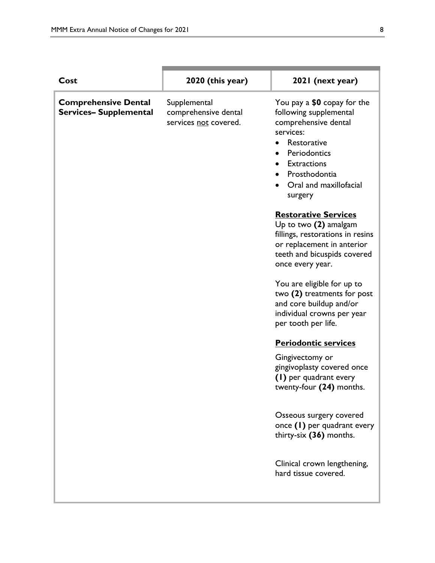| Cost                                                        | 2020 (this year)                                              | 2021 (next year)                                                                                                                                                                                      |
|-------------------------------------------------------------|---------------------------------------------------------------|-------------------------------------------------------------------------------------------------------------------------------------------------------------------------------------------------------|
| <b>Comprehensive Dental</b><br><b>Services-Supplemental</b> | Supplemental<br>comprehensive dental<br>services not covered. | You pay a \$0 copay for the<br>following supplemental<br>comprehensive dental<br>services:<br>Restorative<br>Periodontics<br><b>Extractions</b><br>Prosthodontia<br>Oral and maxillofacial<br>surgery |
|                                                             |                                                               | <b>Restorative Services</b><br>Up to two $(2)$ amalgam<br>fillings, restorations in resins<br>or replacement in anterior<br>teeth and bicuspids covered<br>once every year.                           |
|                                                             |                                                               | You are eligible for up to<br>two (2) treatments for post<br>and core buildup and/or<br>individual crowns per year<br>per tooth per life.                                                             |
|                                                             |                                                               | <b>Periodontic services</b>                                                                                                                                                                           |
|                                                             |                                                               | Gingivectomy or<br>gingivoplasty covered once<br>(1) per quadrant every<br>twenty-four (24) months.                                                                                                   |
|                                                             |                                                               | Osseous surgery covered<br>once (1) per quadrant every<br>thirty-six (36) months.                                                                                                                     |
|                                                             |                                                               | Clinical crown lengthening,<br>hard tissue covered.                                                                                                                                                   |
|                                                             |                                                               |                                                                                                                                                                                                       |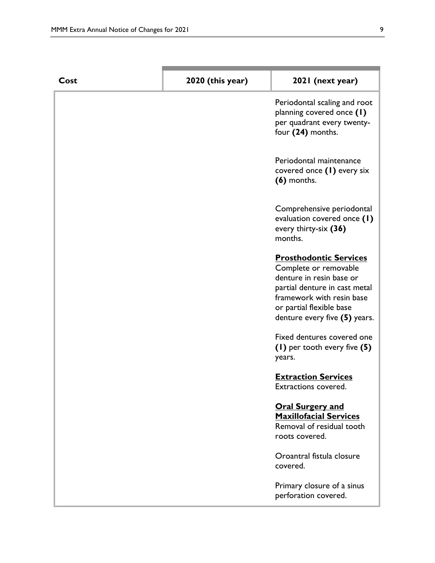| Cost | 2020 (this year) | 2021 (next year)                                                                                                                                                                                              |
|------|------------------|---------------------------------------------------------------------------------------------------------------------------------------------------------------------------------------------------------------|
|      |                  | Periodontal scaling and root<br>planning covered once (1)<br>per quadrant every twenty-<br>four (24) months.                                                                                                  |
|      |                  | Periodontal maintenance<br>covered once (1) every six<br>$(6)$ months.                                                                                                                                        |
|      |                  | Comprehensive periodontal<br>evaluation covered once (1)<br>every thirty-six (36)<br>months.                                                                                                                  |
|      |                  | <b>Prosthodontic Services</b><br>Complete or removable<br>denture in resin base or<br>partial denture in cast metal<br>framework with resin base<br>or partial flexible base<br>denture every five (5) years. |
|      |                  | Fixed dentures covered one<br>(1) per tooth every five (5)<br>years.                                                                                                                                          |
|      |                  | <b>Extraction Services</b><br>Extractions covered.                                                                                                                                                            |
|      |                  | <b>Oral Surgery and</b><br><b>Maxillofacial Services</b><br>Removal of residual tooth<br>roots covered.                                                                                                       |
|      |                  | Oroantral fistula closure<br>covered.                                                                                                                                                                         |
|      |                  | Primary closure of a sinus<br>perforation covered.                                                                                                                                                            |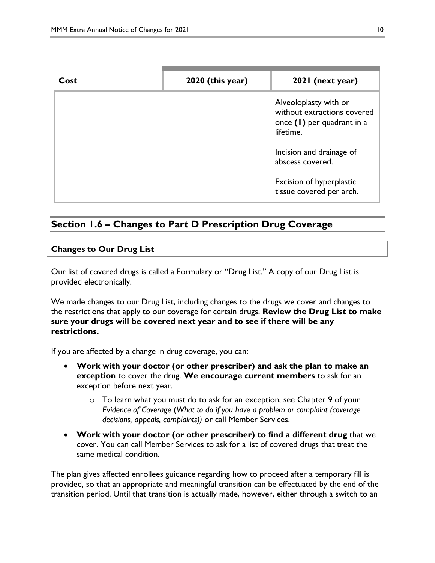| Cost | $2020$ (this year) | 2021 (next year)                                                                                  |
|------|--------------------|---------------------------------------------------------------------------------------------------|
|      |                    | Alveoloplasty with or<br>without extractions covered<br>once $(1)$ per quadrant in a<br>lifetime. |
|      |                    | Incision and drainage of<br>abscess covered.                                                      |
|      |                    | <b>Excision of hyperplastic</b><br>tissue covered per arch.                                       |

# **Section 1.6 – Changes to Part D Prescription Drug Coverage**

#### **Changes to Our Drug List**

Our list of covered drugs is called a Formulary or "Drug List." A copy of our Drug List is provided electronically.

We made changes to our Drug List, including changes to the drugs we cover and changes to the restrictions that apply to our coverage for certain drugs. **Review the Drug List to make sure your drugs will be covered next year and to see if there will be any restrictions.**

If you are affected by a change in drug coverage, you can:

- **Work with your doctor (or other prescriber) and ask the plan to make an exception** to cover the drug. **We encourage current members** to ask for an exception before next year.
	- o To learn what you must do to ask for an exception, see Chapter 9 of your *E*v*idence of Coverage* (*What to do if you have a problem or complaint (coverage decisions, appeals, complaints))* or call Member Services.
- **Work with your doctor (or other prescriber) to find a different drug** that we cover. You can call Member Services to ask for a list of covered drugs that treat the same medical condition.

The plan gives affected enrollees guidance regarding how to proceed after a temporary fill is provided, so that an appropriate and meaningful transition can be effectuated by the end of the transition period. Until that transition is actually made, however, either through a switch to an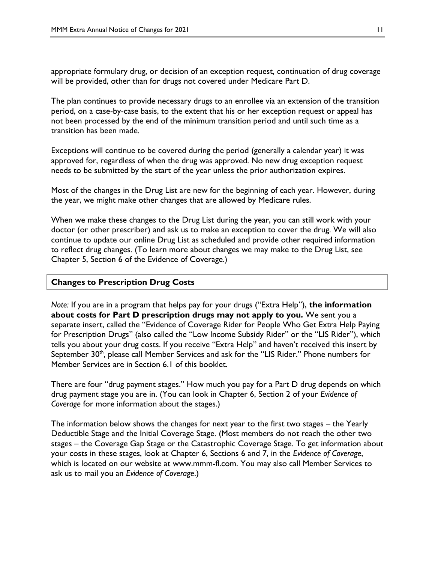appropriate formulary drug, or decision of an exception request, continuation of drug coverage will be provided, other than for drugs not covered under Medicare Part D.

The plan continues to provide necessary drugs to an enrollee via an extension of the transition period, on a case-by-case basis, to the extent that his or her exception request or appeal has not been processed by the end of the minimum transition period and until such time as a transition has been made.

Exceptions will continue to be covered during the period (generally a calendar year) it was approved for, regardless of when the drug was approved. No new drug exception request needs to be submitted by the start of the year unless the prior authorization expires.

Most of the changes in the Drug List are new for the beginning of each year. However, during the year, we might make other changes that are allowed by Medicare rules.

When we make these changes to the Drug List during the year, you can still work with your doctor (or other prescriber) and ask us to make an exception to cover the drug. We will also continue to update our online Drug List as scheduled and provide other required information to reflect drug changes. (To learn more about changes we may make to the Drug List, see Chapter 5, Section 6 of the Evidence of Coverage.)

#### **Changes to Prescription Drug Costs**

*Note:* If you are in a program that helps pay for your drugs ("Extra Help"), **the information about costs for Part D prescription drugs may not apply to you.** We sent you a separate insert, called the "Evidence of Coverage Rider for People Who Get Extra Help Paying for Prescription Drugs" (also called the "Low Income Subsidy Rider" or the "LIS Rider"), which tells you about your drug costs. If you receive "Extra Help" and haven't received this insert by September 30<sup>th</sup>, please call Member Services and ask for the "LIS Rider." Phone numbers for Member Services are in Section 6.1 of this booklet.

There are four "drug payment stages." How much you pay for a Part D drug depends on which drug payment stage you are in. (You can look in Chapter 6, Section 2 of your *Evidence of Coverage* for more information about the stages.)

The information below shows the changes for next year to the first two stages – the Yearly Deductible Stage and the Initial Coverage Stage. (Most members do not reach the other two stages – the Coverage Gap Stage or the Catastrophic Coverage Stage. To get information about your costs in these stages, look at Chapter 6, Sections 6 and 7, in the *Evidence of Coverage*, which is located on our website at [www.mmm-fl.com.](http://www.mmmpr.com/) You may also call Member Services to ask us to mail you an *Evidence of Coverage*.)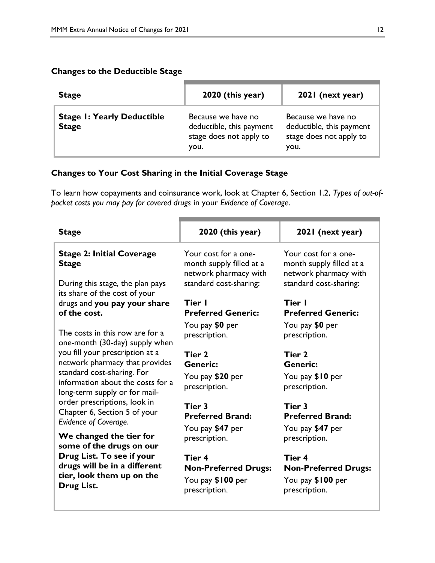## **Changes to the Deductible Stage**

| <b>Stage</b>                                      | 2020 (this year)                                                                  | 2021 (next year)                                                                  |
|---------------------------------------------------|-----------------------------------------------------------------------------------|-----------------------------------------------------------------------------------|
| <b>Stage I: Yearly Deductible</b><br><b>Stage</b> | Because we have no<br>deductible, this payment<br>stage does not apply to<br>you. | Because we have no<br>deductible, this payment<br>stage does not apply to<br>you. |

## **Changes to Your Cost Sharing in the Initial Coverage Stage**

To learn how copayments and coinsurance work, look at Chapter 6, Section 1.2, *Types of out-ofpocket costs you may pay for covered drugs* in your *Evidence of Coverage*.

| <b>Stage</b>                                                                                                                                                              | 2020 (this year)                                                                                    | 2021 (next year)                                                                                    |
|---------------------------------------------------------------------------------------------------------------------------------------------------------------------------|-----------------------------------------------------------------------------------------------------|-----------------------------------------------------------------------------------------------------|
| <b>Stage 2: Initial Coverage</b><br><b>Stage</b><br>During this stage, the plan pays                                                                                      | Your cost for a one-<br>month supply filled at a<br>network pharmacy with<br>standard cost-sharing: | Your cost for a one-<br>month supply filled at a<br>network pharmacy with<br>standard cost-sharing: |
| its share of the cost of your<br>drugs and you pay your share<br>of the cost.<br>The costs in this row are for a<br>one-month (30-day) supply when                        | Tier I<br><b>Preferred Generic:</b><br>You pay \$0 per<br>prescription.                             | Tier I<br><b>Preferred Generic:</b><br>You pay \$0 per<br>prescription.                             |
| you fill your prescription at a<br>network pharmacy that provides<br>standard cost-sharing. For<br>information about the costs for a<br>long-term supply or for mail-     | Tier 2<br><b>Generic:</b><br>You pay \$20 per<br>prescription.                                      | Tier 2<br><b>Generic:</b><br>You pay \$10 per<br>prescription.                                      |
| order prescriptions, look in<br>Chapter 6, Section 5 of your<br>Evidence of Coverage.<br>We changed the tier for<br>some of the drugs on our<br>Drug List. To see if your | Tier 3<br><b>Preferred Brand:</b><br>You pay \$47 per<br>prescription.<br>Tier 4                    | Tier 3<br><b>Preferred Brand:</b><br>You pay \$47 per<br>prescription.<br>Tier 4                    |
| drugs will be in a different<br>tier, look them up on the<br>Drug List.                                                                                                   | <b>Non-Preferred Drugs:</b><br>You pay \$100 per<br>prescription.                                   | <b>Non-Preferred Drugs:</b><br>You pay \$100 per<br>prescription.                                   |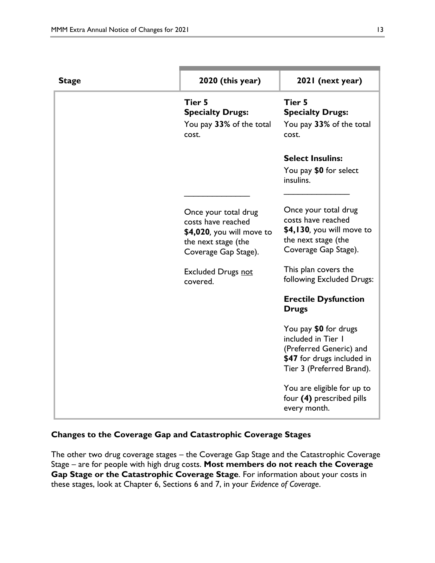| <b>Stage</b> | 2020 (this year)                                                                                                       | 2021 (next year)                                                                                                                  |
|--------------|------------------------------------------------------------------------------------------------------------------------|-----------------------------------------------------------------------------------------------------------------------------------|
|              | Tier 5<br><b>Specialty Drugs:</b><br>You pay 33% of the total<br>cost.                                                 | Tier 5<br><b>Specialty Drugs:</b><br>You pay 33% of the total<br>cost.                                                            |
|              |                                                                                                                        | <b>Select Insulins:</b>                                                                                                           |
|              |                                                                                                                        | You pay \$0 for select<br>insulins.                                                                                               |
|              | Once your total drug<br>costs have reached<br>\$4,020, you will move to<br>the next stage (the<br>Coverage Gap Stage). | Once your total drug<br>costs have reached<br>\$4,130, you will move to<br>the next stage (the<br>Coverage Gap Stage).            |
|              | <b>Excluded Drugs not</b><br>covered.                                                                                  | This plan covers the<br>following Excluded Drugs:                                                                                 |
|              |                                                                                                                        | <b>Erectile Dysfunction</b><br><b>Drugs</b>                                                                                       |
|              |                                                                                                                        | You pay \$0 for drugs<br>included in Tier I<br>(Preferred Generic) and<br>\$47 for drugs included in<br>Tier 3 (Preferred Brand). |
|              |                                                                                                                        | You are eligible for up to<br>four (4) prescribed pills<br>every month.                                                           |

## **Changes to the Coverage Gap and Catastrophic Coverage Stages**

The other two drug coverage stages – the Coverage Gap Stage and the Catastrophic Coverage Stage – are for people with high drug costs. **Most members do not reach the Coverage Gap Stage or the Catastrophic Coverage Stage**. For information about your costs in these stages, look at Chapter 6, Sections 6 and 7, in your *Evidence of Coverage*.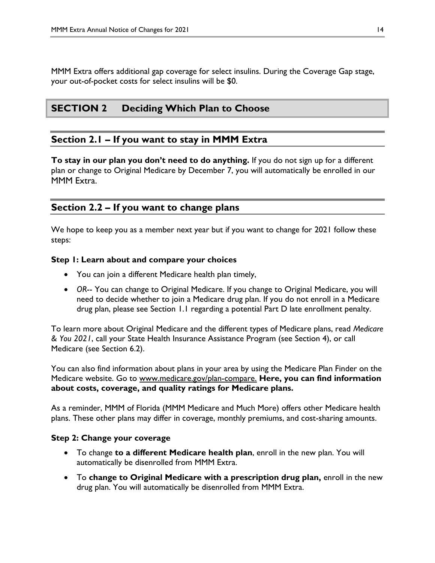MMM Extra offers additional gap coverage for select insulins. During the Coverage Gap stage, your out-of-pocket costs for select insulins will be \$0.

## **SECTION 2 Deciding Which Plan to Choose**

### **Section 2.1 – If you want to stay in MMM Extra**

**To stay in our plan you don't need to do anything.** If you do not sign up for a different plan or change to Original Medicare by December 7, you will automatically be enrolled in our MMM Extra.

## **Section 2.2 – If you want to change plans**

We hope to keep you as a member next year but if you want to change for 2021 follow these steps:

#### **Step 1: Learn about and compare your choices**

- You can join a different Medicare health plan timely,
- *OR*-- You can change to Original Medicare. If you change to Original Medicare, you will need to decide whether to join a Medicare drug plan. If you do not enroll in a Medicare drug plan, please see Section 1.1 regarding a potential Part D late enrollment penalty.

To learn more about Original Medicare and the different types of Medicare plans, read *Medicare & You 2021*, call your State Health Insurance Assistance Program (see Section 4), or call Medicare (see Section 6.2).

You can also find information about plans in your area by using the Medicare Plan Finder on the Medicare website. Go to [www.medicare.gov/plan-compare.](http://www.medicare.gov/plan-compare) **Here, you can find information about costs, coverage, and quality ratings for Medicare plans.**

As a reminder, MMM of Florida (MMM Medicare and Much More) offers other Medicare health plans. These other plans may differ in coverage, monthly premiums, and cost-sharing amounts.

#### **Step 2: Change your coverage**

- To change **to a different Medicare health plan**, enroll in the new plan. You will automatically be disenrolled from MMM Extra.
- To **change to Original Medicare with a prescription drug plan,** enroll in the new drug plan. You will automatically be disenrolled from MMM Extra.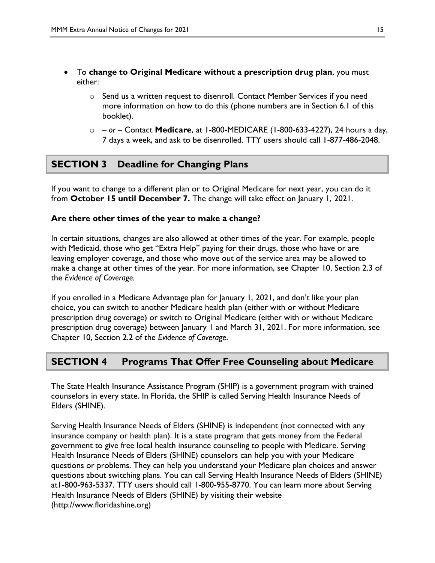- To **change to Original Medicare without a prescription drug plan**, you must either:
	- $\circ$  Send us a written request to disenroll. Contact Member Services if you need more information on how to do this (phone numbers are in Section 6.1 of this booklet).
	- o *– or –* Contact **Medicare**, at 1-800-MEDICARE (1-800-633-4227), 24 hours a day, 7 days a week, and ask to be disenrolled. TTY users should call 1-877-486-2048.

# **SECTION 3 Deadline for Changing Plans**

If you want to change to a different plan or to Original Medicare for next year, you can do it from **October 15 until December 7.** The change will take effect on January 1, 2021.

#### **Are there other times of the year to make a change?**

In certain situations, changes are also allowed at other times of the year. For example, people with Medicaid, those who get "Extra Help" paying for their drugs, those who have or are leaving employer coverage, and those who move out of the service area may be allowed to make a change at other times of the year. For more information, see Chapter 10, Section 2.3 of the *Evidence of Coverage.*

If you enrolled in a Medicare Advantage plan for January 1, 2021, and don't like your plan choice, you can switch to another Medicare health plan (either with or without Medicare prescription drug coverage) or switch to Original Medicare (either with or without Medicare prescription drug coverage) between January 1 and March 31, 2021. For more information, see Chapter 10, Section 2.2 of the *Evidence of Coverage*.

## **SECTION 4 Programs That Offer Free Counseling about Medicare**

The State Health Insurance Assistance Program (SHIP) is a government program with trained counselors in every state. In Florida, the SHIP is called Serving Health Insurance Needs of Elders (SHINE).

Serving Health Insurance Needs of Elders (SHINE) is independent (not connected with any insurance company or health plan). It is a state program that gets money from the Federal government to give free local health insurance counseling to people with Medicare. Serving Health Insurance Needs of Elders (SHINE) counselors can help you with your Medicare questions or problems. They can help you understand your Medicare plan choices and answer questions about switching plans. You can call Serving Health Insurance Needs of Elders (SHINE) at1-800-963-5337. TTY users should call 1-800-955-8770. You can learn more about Serving Health Insurance Needs of Elders (SHINE) by visiting their website (http://www.floridashine.org)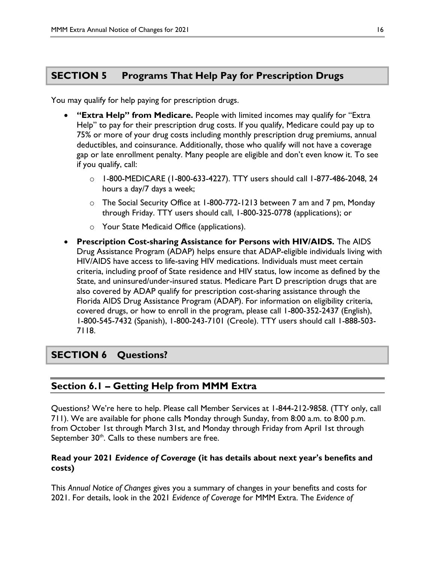# **SECTION 5 Programs That Help Pay for Prescription Drugs**

You may qualify for help paying for prescription drugs.

- **"Extra Help" from Medicare.** People with limited incomes may qualify for "Extra Help" to pay for their prescription drug costs. If you qualify, Medicare could pay up to 75% or more of your drug costs including monthly prescription drug premiums, annual deductibles, and coinsurance. Additionally, those who qualify will not have a coverage gap or late enrollment penalty. Many people are eligible and don't even know it. To see if you qualify, call:
	- o 1-800-MEDICARE (1-800-633-4227). TTY users should call 1-877-486-2048, 24 hours a day/7 days a week;
	- o The Social Security Office at 1-800-772-1213 between 7 am and 7 pm, Monday through Friday. TTY users should call, 1-800-325-0778 (applications); or
	- o Your State Medicaid Office (applications).
- **Prescription Cost-sharing Assistance for Persons with HIV/AIDS.** The AIDS Drug Assistance Program (ADAP) helps ensure that ADAP-eligible individuals living with HIV/AIDS have access to life-saving HIV medications. Individuals must meet certain criteria, including proof of State residence and HIV status, low income as defined by the State, and uninsured/under-insured status. Medicare Part D prescription drugs that are also covered by ADAP qualify for prescription cost-sharing assistance through the Florida AIDS Drug Assistance Program (ADAP). For information on eligibility criteria, covered drugs, or how to enroll in the program, please call 1-800-352-2437 (English), 1-800-545-7432 (Spanish), 1-800-243-7101 (Creole). TTY users should call 1-888-503- 7118.

# **SECTION 6 Questions?**

# **Section 6.1 – Getting Help from MMM Extra**

Questions? We're here to help. Please call Member Services at 1-844-212-9858. (TTY only, call 711). We are available for phone calls Monday through Sunday, from 8:00 a.m. to 8:00 p.m. from October 1st through March 31st, and Monday through Friday from April 1st through September  $30<sup>th</sup>$ . Calls to these numbers are free.

### **Read your 2021** *Evidence of Coverage* **(it has details about next year's benefits and costs)**

This *Annual Notice of Changes* gives you a summary of changes in your benefits and costs for 2021. For details, look in the 2021 *Evidence of Coverage* for MMM Extra. The *Evidence of*